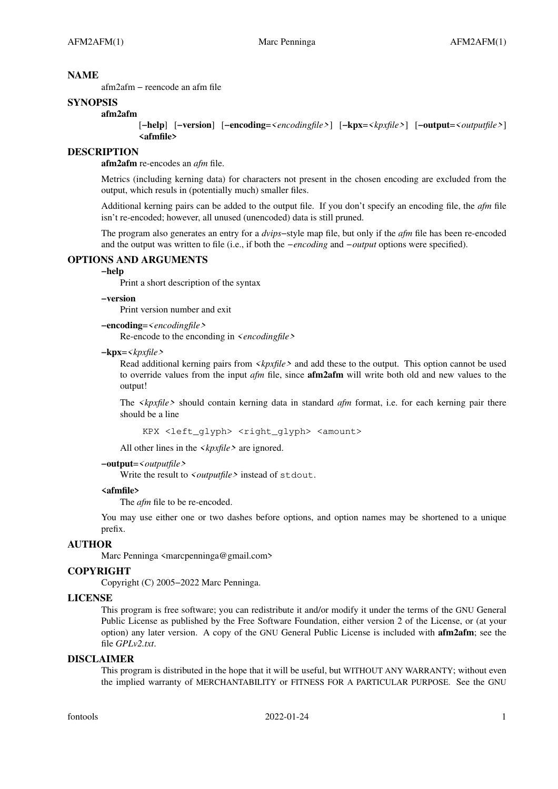#### **NAME**

afm2afm − reencode an afm file

### **SYNOPSIS**

#### **afm2afm**

[**−help**] [**−version**] [**−encoding**=*<encodingfile>*] [**−kpx**=*<kpxfile>*] [**−output**=*<outputfile>*] **<afmfile>**

### **DESCRIPTION**

**afm2afm** re-encodes an *afm* file.

Metrics (including kerning data) for characters not present in the chosen encoding are excluded from the output, which resuls in (potentially much) smaller files.

Additional kerning pairs can be added to the output file. If you don't specify an encoding file, the *afm* file isn't re-encoded; however, all unused (unencoded) data is still pruned.

The program also generates an entry for a *dvips*−style map file, but only if the *afm* file has been re-encoded and the output was written to file (i.e., if both the *−encoding* and *−output* options were specified).

#### **OPTIONS AND ARGUMENTS**

# **−help**

Print a short description of the syntax

**−version**

Print version number and exit

**−encoding**=*<encodingfile>*

Re-encode to the enconding in *<encodingfile>*

#### **−kpx**=*<kpxfile>*

Read additional kerning pairs from *<kpxfile>* and add these to the output. This option cannot be used to override values from the input *afm* file, since **afm2afm** will write both old and new values to the output!

The *<kpxfile>* should contain kerning data in standard *afm* format, i.e. for each kerning pair there should be a line

KPX <left\_glyph> <right\_glyph> <amount>

All other lines in the *<kpxfile>* are ignored.

#### **−output**=*<outputfile>*

Write the result to *<outputfile>* instead of stdout.

### **<afmfile>**

The *afm* file to be re-encoded.

You may use either one or two dashes before options, and option names may be shortened to a unique prefix.

#### **AUTHOR**

Marc Penninga <marcpenninga@gmail.com>

### **COPYRIGHT**

Copyright (C) 2005−2022 Marc Penninga.

#### **LICENSE**

This program is free software; you can redistribute it and/or modify it under the terms of the GNU General Public License as published by the Free Software Foundation, either version 2 of the License, or (at your option) any later version. A copy of the GNU General Public License is included with **afm2afm**; see the file *GPLv2.txt*.

### **DISCLAIMER**

This program is distributed in the hope that it will be useful, but WITHOUT ANY WARRANTY; without even the implied warranty of MERCHANTABILITY or FITNESS FOR A PARTICULAR PURPOSE. See the GNU